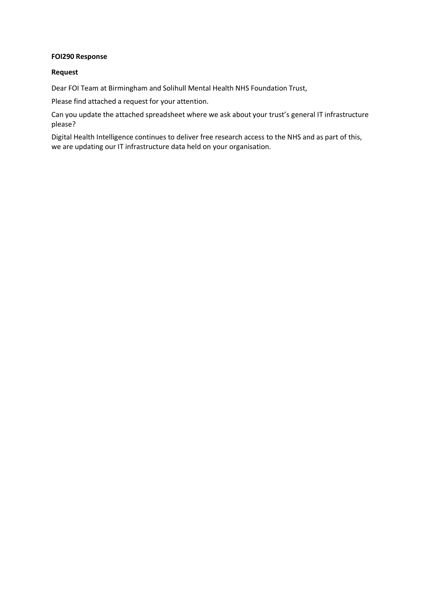## **FOI290 Response**

## **Request**

Dear FOI Team at Birmingham and Solihull Mental Health NHS Foundation Trust,

Please find attached a request for your attention.

Can you update the attached spreadsheet where we ask about your trust's general IT infrastructure please?

Digital Health Intelligence continues to deliver free research access to the NHS and as part of this, we are updating our IT infrastructure data held on your organisation.